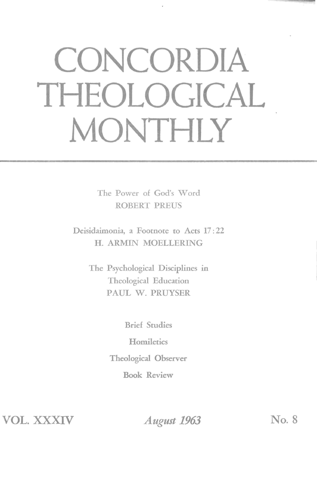## **CONCORDIA THEOLOGICAL MONTHLY**

The Power of God's Word ROBERT PREUS

Deisidaimonia, a Footnote to Acts 17: 22 H. ARMIN MOELLERING

> The Psychological Disciplines in Theological Education PAUL W. PRUYSER

> > Brief Studies

**Homiletics** 

Theological Observer

Book Review

**VOL. XXXIV** 

*August 1963* **No.8**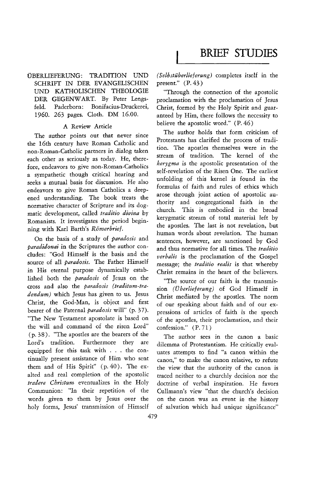BRIEF **STUDIES** 

## DBERLIEFERUNG: TRADITION UND SCHRIFT IN DER EVANGELISCHEN UND KATHOLISCHEN THEOLOGIE DER GEGENW ART. By Peter Lengsfeld. Paderborn: Bonifacius-Druckerei, 1960. 263 pages. Cloth. DM 16.00.

## A Review Article

The author points out that never since the 16th century have Roman Catholic and non-Roman-Catholic partners in dialog taken each other as seriously as today. He, therefore, endeavors to give non-Roman-Catholics a sympathetic though critical hearing and seeks a mutual basis for discussion. He also endeavors to give Roman Catholics a deepened understanding. The book treats the normative character of Scripture and its dogmatic development, called *traditio divina* by Romanists. It investigates the period beginning with Karl Barth's *Romerbrief.* 

On the basis of a study of *paradosis* and *paradidonai* in the Scriptures the author concludes: "God Himself is the basis and the source of all *paradosis.* The Father Himself in His eternal purpose dynamically established both the *paradosis* of Jesus on the cross and also the *paradosis (traditum-tradendum)* which Jesus has given to us. Jesus Christ, the God-Man, is object and first bearer of the Paternal *paradosis* will" (p. 37). "The New Testament apostolate is based on the will and command of the risen Lord" (p. 38). "The apostles are the bearers of the Lord's tradition. Furthermore they are equipped for this task with . . . the continually present assistance of Him who sent them and of His Spirit" (p. 40). The exalted and real completion of the apostolic *tradere Christum* eventualizes in the Holy Communion: "In their repetition of the words given to them by Jesus over the holy forms, Jesus' transmission of Himself

*(Selbstiiberlieferung)* completes itself in the present." (P. 43)

"Through the connection of the apostolic proclamation with the proclamation of Jesus Christ, formed by the Holy Spirit and guaranteed by Him, there follows the necessity to believe the apostolic word." (P. 46 )

The author holds that form criticism of Protestants has clarified the process of tradition. The apostles themselves were in the stream of tradition. The kernel of the *.kerygma* is the apostolic presentation of the self-revelation of the Risen One. The earliest unfolding of this kernel is found in the formulas of faith and rules of ethics which arose through joint action of apostolic authority and congregational faith in the church. This is embodied in the broad kerygmatic stream of total material left by the apostles. The last is not revelation, but human words about revelation. The human sentences, however, are sanctioned by God and thus normative for all times. The *traditio verbalis* is the proclamation of the Gospel message; the *traditio realis* is that whereby Christ remains in the heart of the believers.

"The source of our faith is the transmission *(Oberlieferung)* of God Himself in Christ mediated by the apostles. The norm of our speaking about faith and of our expressions of articles of faith is the speech of the apostles, their proclamation, and their confession." (P. 71 )

The author sees in the canon a basic dilemma of Protestantism. He critically evaluates attempts to find "a canon within the canon," to make the canon relative, to refute the view that the authority of the canon is traced neither to a churchly decision nor the doctrine of verbal inspiration. He favors Cullmann's view "that the church's decision on the canon was an event in the history of salvation which had unique significance"